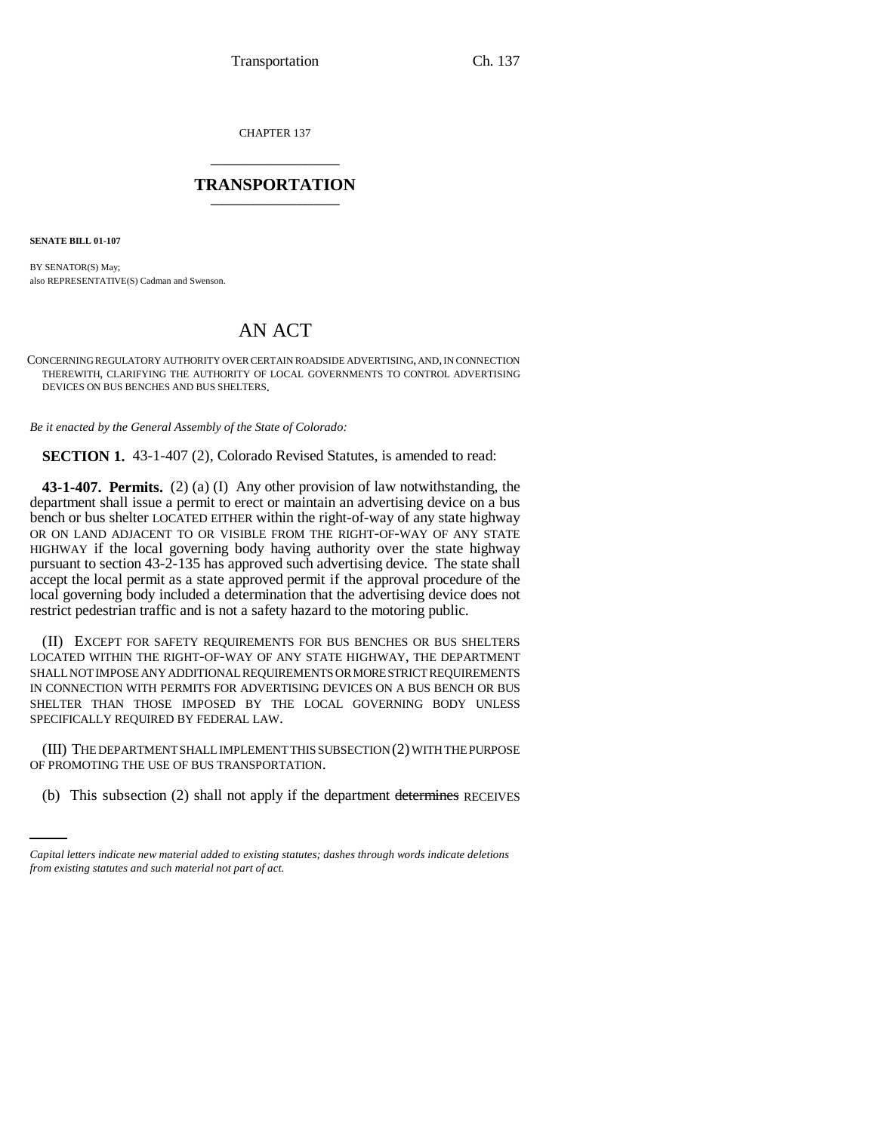CHAPTER 137 \_\_\_\_\_\_\_\_\_\_\_\_\_\_\_

## **TRANSPORTATION** \_\_\_\_\_\_\_\_\_\_\_\_\_\_\_

**SENATE BILL 01-107**

BY SENATOR(S) May; also REPRESENTATIVE(S) Cadman and Swenson.

## AN ACT

CONCERNING REGULATORY AUTHORITY OVER CERTAIN ROADSIDE ADVERTISING, AND, IN CONNECTION THEREWITH, CLARIFYING THE AUTHORITY OF LOCAL GOVERNMENTS TO CONTROL ADVERTISING DEVICES ON BUS BENCHES AND BUS SHELTERS.

*Be it enacted by the General Assembly of the State of Colorado:*

**SECTION 1.** 43-1-407 (2), Colorado Revised Statutes, is amended to read:

**43-1-407. Permits.** (2) (a) (I) Any other provision of law notwithstanding, the department shall issue a permit to erect or maintain an advertising device on a bus bench or bus shelter LOCATED EITHER within the right-of-way of any state highway OR ON LAND ADJACENT TO OR VISIBLE FROM THE RIGHT-OF-WAY OF ANY STATE HIGHWAY if the local governing body having authority over the state highway pursuant to section 43-2-135 has approved such advertising device. The state shall accept the local permit as a state approved permit if the approval procedure of the local governing body included a determination that the advertising device does not restrict pedestrian traffic and is not a safety hazard to the motoring public.

(II) EXCEPT FOR SAFETY REQUIREMENTS FOR BUS BENCHES OR BUS SHELTERS LOCATED WITHIN THE RIGHT-OF-WAY OF ANY STATE HIGHWAY, THE DEPARTMENT SHALL NOT IMPOSE ANY ADDITIONAL REQUIREMENTS OR MORE STRICT REQUIREMENTS IN CONNECTION WITH PERMITS FOR ADVERTISING DEVICES ON A BUS BENCH OR BUS SHELTER THAN THOSE IMPOSED BY THE LOCAL GOVERNING BODY UNLESS SPECIFICALLY REQUIRED BY FEDERAL LAW.

OF PROMOTING THE USE OF BUS TRANSPORTATION. (III) THE DEPARTMENT SHALL IMPLEMENT THIS SUBSECTION (2) WITH THE PURPOSE

(b) This subsection (2) shall not apply if the department determines RECEIVES

*Capital letters indicate new material added to existing statutes; dashes through words indicate deletions from existing statutes and such material not part of act.*